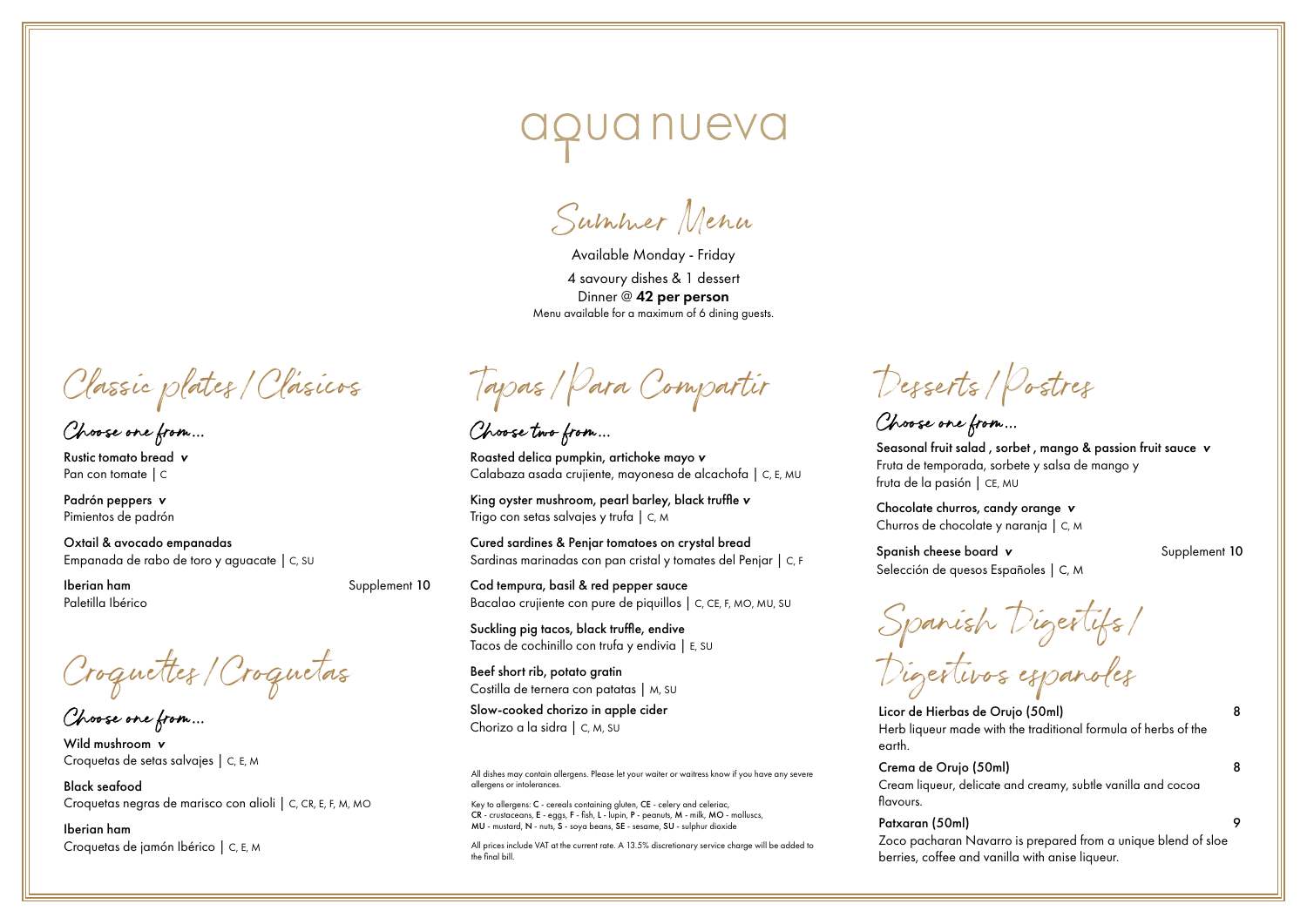Summer Menu

Available Monday - Friday 4 savoury dishes & 1 dessert Dinner @ 42 per person Menu available for a maximum of 6 dining guests.

Classic plates/Clásicos

Choose one from...

Rustic tomato bread *v* Pan con tomate | C

Padrón peppers *v* Pimientos de padrón

Oxtail & avocado empanadas Empanada de rabo de toro y aguacate | C, SU

Paletilla Ibérico

**Iberian ham** Supplement 10

Croquettes/Croquetas

Choose one from...

Wild mushroom *v* Croquetas de setas salvajes | C, E, M

Black seafood Croquetas negras de marisco con alioli | C, CR, E, F, M, MO

Iberian ham Croquetas de jamón Ibérico | C, E, M

Tapas/Para Compartir

Choose two from...

Roasted delica pumpkin, artichoke mayo *v* Calabaza asada crujiente, mayonesa de alcachofa | C, E, MU

King oyster mushroom, pearl barley, black truffle *v* Trigo con setas salvajes y trufa | C, M

Cured sardines & Penjar tomatoes on crystal bread Sardinas marinadas con pan cristal y tomates del Penjar | C, F

Cod tempura, basil & red pepper sauce Bacalao crujiente con pure de piquillos | C, CE, F, MO, MU, SU

Suckling pig tacos, black truffle, endive Tacos de cochinillo con trufa y endivia | E, SU

Beef short rib, potato gratin Costilla de ternera con patatas | M, SU

Slow-cooked chorizo in apple cider Chorizo a la sidra | C, M, SU

All dishes may contain allergens. Please let your waiter or waitress know if you have any severe allergens or intolerances.

Key to allergens: C - cereals containing gluten, CE - celery and celeriac, CR - crustaceans, E - eggs, F - fish, L - lupin, P - peanuts, M - milk, MO - molluscs, MU - mustard, N - nuts, S - soya beans, SE - sesame, SU - sulphur dioxide

All prices include VAT at the current rate. A 13.5% discretionary service charge will be added to the final bill.

Desserts/Postres

Choose one from...

Seasonal fruit salad , sorbet , mango & passion fruit sauce *v* Fruta de temporada, sorbete y salsa de mango y fruta de la pasión | CE, MU

Chocolate churros, candy orange *v* Churros de chocolate y naranja | C, M

Spanish cheese board **v** Supplement 10 Selección de quesos Españoles | C, M

Spanish Digestifs/

Digestivos espanoles

Licor de Hierbas de Orujo (50ml) 8 Herb liqueur made with the traditional formula of herbs of the earth.

Crema de Orujo (50ml) 8 Cream liqueur, delicate and creamy, subtle vanilla and cocoa flavours.

Patxaran (50ml) 9 Zoco pacharan Navarro is prepared from a unique blend of sloe berries, coffee and vanilla with anise liqueur.